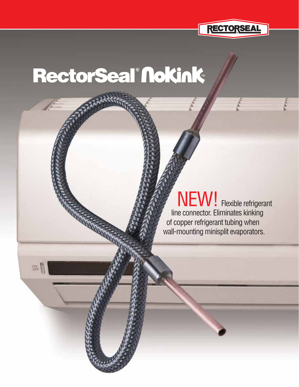

# RectorSeal®Nokink

 $rac{1}{100}$ 

WEW! Flexible refrigerant **Ine connector. Eliminates kinking**  of copper refrigerant tubing when wall-mounting minisplit evaporators.